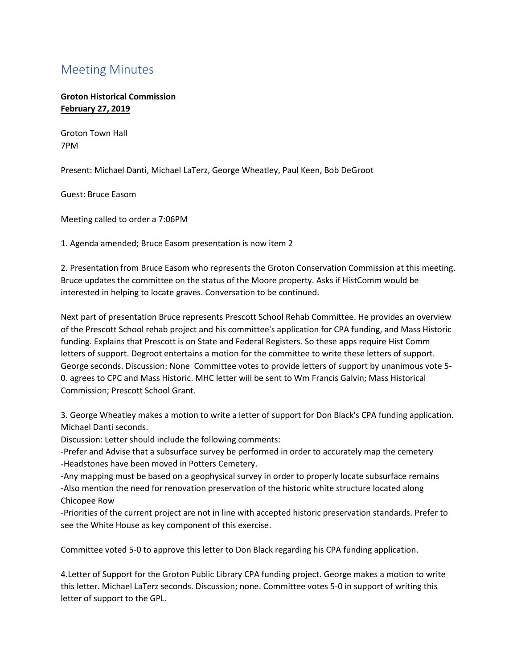## Meeting Minutes

**Groton Historical Commission February 27, 2019**

Groton Town Hall 7PM

Present: Michael Danti, Michael LaTerz, George Wheatley, Paul Keen, Bob DeGroot

Guest: Bruce Easom

Meeting called to order a 7:06PM

1. Agenda amended; Bruce Easom presentation is now item 2

2. Presentation from Bruce Easom who represents the Groton Conservation Commission at this meeting. Bruce updates the committee on the status of the Moore property. Asks if HistComm would be interested in helping to locate graves. Conversation to be continued.

Next part of presentation Bruce represents Prescott School Rehab Committee. He provides an overview of the Prescott School rehab project and his committee's application for CPA funding, and Mass Historic funding. Explains that Prescott is on State and Federal Registers. So these apps require Hist Comm letters of support. Degroot entertains a motion for the committee to write these letters of support. George seconds. Discussion: None Committee votes to provide letters of support by unanimous vote 5- 0. agrees to CPC and Mass Historic. MHC letter will be sent to Wm Francis Galvin; Mass Historical Commission; Prescott School Grant.

3. George Wheatley makes a motion to write a letter of support for Don Black's CPA funding application. Michael Danti seconds.

Discussion: Letter should include the following comments:

-Prefer and Advise that a subsurface survey be performed in order to accurately map the cemetery -Headstones have been moved in Potters Cemetery.

-Any mapping must be based on a geophysical survey in order to properly locate subsurface remains -Also mention the need for renovation preservation of the historic white structure located along Chicopee Row

-Priorities of the current project are not in line with accepted historic preservation standards. Prefer to see the White House as key component of this exercise.

Committee voted 5-0 to approve this letter to Don Black regarding his CPA funding application.

4.Letter of Support for the Groton Public Library CPA funding project. George makes a motion to write this letter. Michael LaTerz seconds. Discussion; none. Committee votes 5-0 in support of writing this letter of support to the GPL.